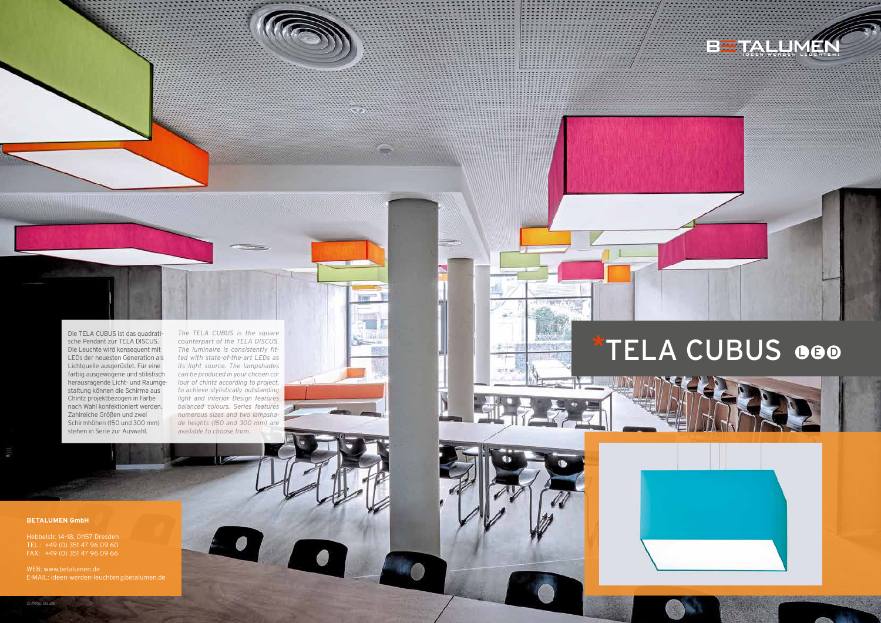Die TELA CUBUS ist das quadratische Pendant zur TELA DISCUS. Die Leuchte wird konsequent mit LEDs der neuesten Generation als Lichtquelle ausgerüstet. Für eine farbig ausgewogene und stilistisch herausragende Licht- und Raumgestaltung können die Schirme aus Chintz projektbezogen in Farbe nach Wahl konfektioniert werden. Zahlreiche Größen und zwei Schirmhöhen (150 und 300 mm) stehen in Serie zur Auswahl.

*The TELA CUBUS is the square counterpart of the TELA DISCUS. The luminaire is consistently fitted with state-of-the-art LEDs as its light source. The lampshades can be produced in your chosen colour of chintz according to project, to achieve stylistically outstanding light and interior Design features balanced colours. Series features numerous sizes and two lampshade heights (150 and 300 mm) are available to choose from.*

#### **BETALUMEN GmbH**

Hebbelstr. 14–18, 01157 Dresden TEL.: +49 (0) 351 47 96 09 60 FAX: +49 (0) 351 47 96 09 66

WEB: www.betalumen.de E-MAIL: ideen-werden-leuchten@betalumen.de





# TELA CUBUS 000



© Peter Bauer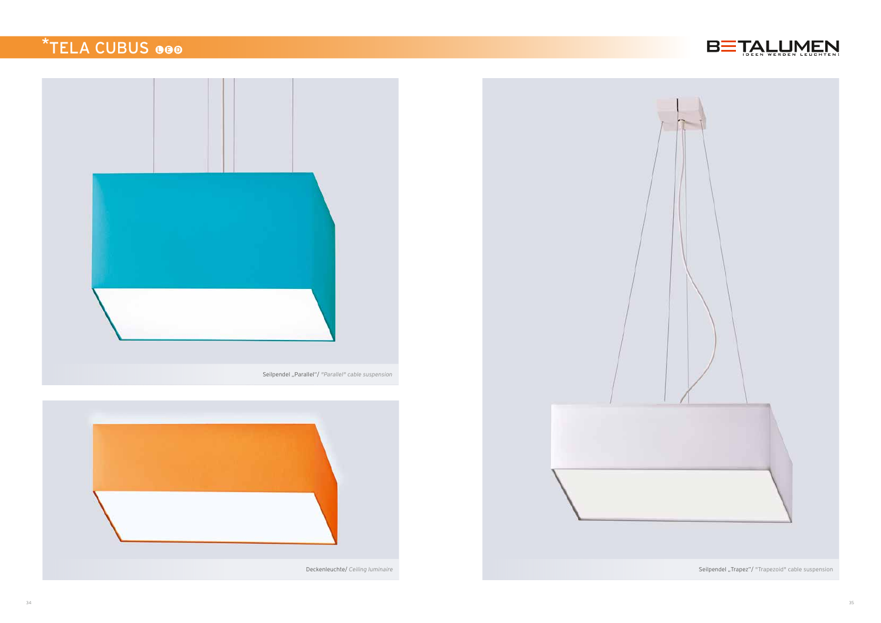

## \*TELA CUBUS GOO



Seilpendel "Parallel"/ *"Parallel" cable suspension*



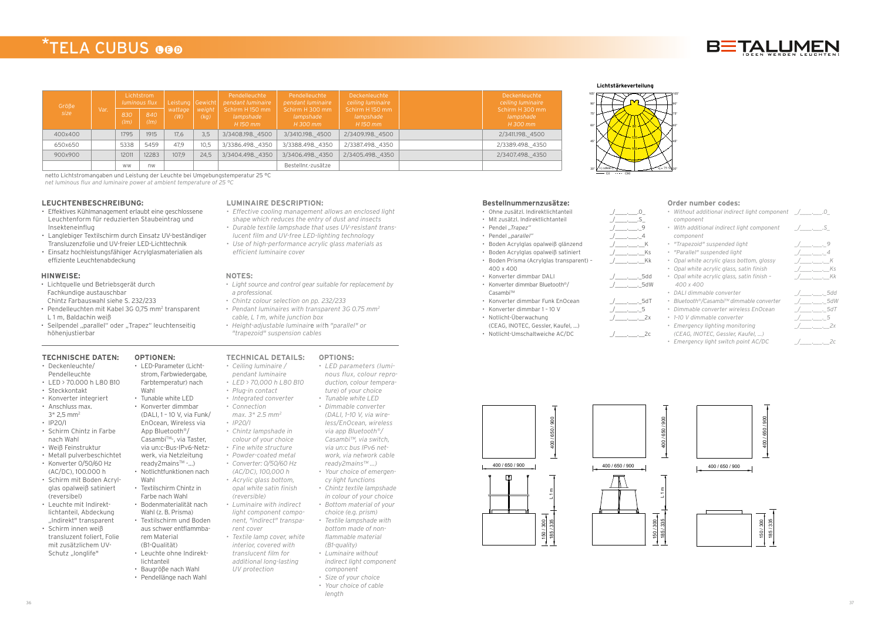#### **TECHNISCHE DATEN:**

- Deckenleuchte/ Pendelleuchte
- LED > 70.000 h L80 B10
- Steckkontakt
- Konverter integriert
- Anschluss max.
- $3*$  2.5 mm<sup>2</sup> • IP20/I
- Schirm Chintz in Farbe nach Wahl
- Weiß Feinstruktur
- Metall pulverbeschichtet • Konverter 0/50/60 Hz
- (AC/DC), 100.000 h
- Schirm mit Boden Acrylglas opalweiß satiniert (reversibel)
- Leuchte mit Indirektlichtanteil, Abdeckung "Indirekt" transparent
- Schirm innen weiß transluzent foliert, Folie mit zusätzlichem UV-Schutz "longlife"

#### **OPTIONEN:** • LED-Parameter (Licht-

- strom, Farbwiedergabe, Farbtemperatur) nach
- Wahl • Tunable white LED
- Konverter dimmbar
- (DALI, 1 10 V, via Funk/ EnOcean, Wireless via App Bluetooth®/ Casambi™-, via Taster, via un:c-Bus-IPv6-Netz-
- werk, via Netzleitung
- ready2mains™ -...)
- Notlichtfunktionen nach Wahl • Textilschirm Chintz in
- Farbe nach Wahl • Bodenmaterialität nach
- Wahl (z. B. Prisma) • Textilschirm und Boden
- aus schwer entflammbarem Material (B1-Qualität)
- Leuchte ohne Indirektlichtanteil
- Baugröße nach Wahl
- Pendellänge nach Wahl

#### **LEUCHTENBESCHREIBUNG:**

- Effektives Kühlmanagement erlaubt eine geschlossene Leuchtenform für reduzierten Staubeintrag und Insekteneinflug
- Langlebiger Textilschirm durch Einsatz UV-beständiger Transluzenzfolie und UV-freier LED-Lichttechnik
- Einsatz hochleistungsfähiger Acrylglasmaterialien als effiziente Leuchtenabdeckung

#### **LUMINAIRE DESCRIPTION:**

- *• Effective cooling management allows an enclosed light shape which reduces the entry of dust and insects*
- *• Durable textile lampshade that uses UV-resistant translucent film and UV-free LED-lighting technology*
- *• Use of high-performance acrylic glass materials as efficient luminaire cover*

#### **HINWEISE:**

- Lichtquelle und Betriebsgerät durch Fachkundige austauschbar Chintz Farbauswahl siehe S. 232/233
- Pendelleuchten mit Kabel 3G 0,75 mm<sup>2</sup> transparent L 1 m, Baldachin weiß
- Seilpendel "parallel" oder "Trapez" leuchtenseitig höhenjustierbar

#### **NOTES:**

- *• Light source and control gear suitable for replacement by a professional.*
- *• Chintz colour selection on pp. 232/233*
- *• Pendant luminaires with transparent 3G 0.75 mm2 cable, L 1 m, white junction box*
- *• Height-adjustable luminair*e *wit*h *"parallel" or "trapezoid" suspension cables*

### \*TELA CUBUS GOO

| Größe<br>size | Var. | Lichtstrom<br>luminous flux |             | Leistung Gewicht |                | Pendelleuchte<br>pendant luminaire       | Pendelleuchte<br>pendant luminaire       | Deckenleuchte<br>ceiling luminaire       | Deckenleuchte<br>ceiling luminaire       |
|---------------|------|-----------------------------|-------------|------------------|----------------|------------------------------------------|------------------------------------------|------------------------------------------|------------------------------------------|
|               |      | 830<br>(lm)                 | 840<br>(lm) | wattage<br>(W)   | weight<br>(kq) | Schirm H 150 mm<br>lampshade<br>H 150 mm | Schirm H 300 mm<br>lampshade<br>H 300 mm | Schirm H 150 mm<br>lampshade<br>H 150 mm | Schirm H 300 mm<br>lampshade<br>H 300 mm |
| 400x400       |      | 1795                        | 1915        | 17.6             | 3,5            | 3/3408.198.4500                          | 3/3410.198. 4500                         | 2/3409.198. 4500                         | 2/3411.198. 4500                         |
| 650x650       |      | 5338                        | 5459        | 47.9             | 10.5           | 3/3386.498.4350                          | 3/3388.498. 4350                         | 2/3387.498. 4350                         | 2/3389.498. 4350                         |
| 900x900       |      | 12011                       | 12283       | 107.9            | 24.5           | 3/3404.498. 4350                         | 3/3406.498. 4350                         | 2/3405.498. 4350                         | 2/3407.498. 4350                         |
|               |      | <b>WW</b>                   | nw          |                  |                |                                          | Bestellnr.-zusätze                       |                                          |                                          |

netto Lichtstromangaben und Leistung der Leuchte bei Umgebungstemperatur 25 °C

*net luminous flux and luminaire power at ambient temperature of 25 °C*

#### **Bestellnummernzusätze:**

- Ohne zusätzl. Indirektlichtanteil \_/\_\_\_\_.\_\_\_.0\_
- Mit zusätzl. Indirektlichtanteil
- Pendel "Trapez"
- Pendel "parallel"
- Boden Acrylglas opalweiß glänzend
- Boden Acrylglas opalweiß satiniert
- Boden Prisma (Acrylglas transparent) 400 x 400
- Konverter dimmbar DALI  $\qquad \qquad \underline{\qquad \qquad }$ .
- Konverter dimmbar Bluetooth®/ Casambi™
- Konverter dimmbar Funk EnOcean
- Konverter dimmbar 1 10 V \_/\_\_\_\_.\_\_\_.\_5
- Notlicht-Überwachung
- (CEAG, INOTEC, Gessler, Kaufel, ...)
- 

\_/\_\_\_\_.\_\_\_.\_\_Kk

 $1 - 3$ dW

\_/\_\_\_\_\_\_\_\_\_\_\_\_\_\_\_2x



ξ 400 / 650 / 900 ្តុជ  $\tilde{\epsilon}$ 



#### **Order number codes:**

- *• Without additional indirect light component \_/\_\_\_\_.\_\_\_.0\_ component*
- *• With additional indirect light component component*
- *• "Trapezoid" suspended light \_/\_\_\_\_.\_\_\_.\_9*
- *• "Parallel" suspended light \_/\_\_\_\_.\_\_\_.\_4*
- *• Opal white acrylic glass bottom, glossy \_/\_\_\_\_.\_\_\_.\_\_K*
- *• Opal white acrylic glass, satin finish \_/\_\_\_\_.\_\_\_.\_\_Ks • Opal white acrylic glass, satin finish –*
- *400 x 400 • DALI dimmable converter \_/\_\_\_\_.\_\_\_.\_5dd*
- *• Bluetooth®/Casambi™ dimmable converter \_/\_\_\_\_.\_\_\_.\_5dW*
- *• Dimmable converter wireless EnOcean \_/\_\_\_\_.\_\_\_.\_5dT*
- *• 1–10 V dimmable converter \_/\_\_\_\_.\_\_\_.\_5*
- *• Emergency lighting monitoring (CEAG, INOTEC, Gessler, Kaufel, ...)*
- *• Emergency light switch point AC/DC \_/\_\_\_\_.\_\_\_.\_\_2c*



#### **TECHNICAL DETAILS: OPTIONS:**

- *• Ceiling luminaire /*
- *pendant luminaire*
- *• LED > 70,000 h L80 B10 • Plug-in contact*
- *• Integrated converter*
- *• Connection*
- *max. 3\* 2.5 mm2*
- *• IP20/I*
- *• Chintz lampshade in colour of your choice*
- *• Fine white structure*
- *• Powder-coated metal • Converter: 0/50/60 Hz*
- *(AC/DC), 100,000 h • Acrylic glass bottom,*
- *opal white satin finish (reversible) • Luminaire with indirect light component component, "indirect" transpa-*
- *rent cover • Textile lamp cover, white interior, covered with*
- *translucent film for additional long-lasting UV protection*

*• LED parameters (luminous flux, colour repro-*

- 
- *duction, colour temperature) of your choice • Tunable white LED • Dimmable converter (DALI, 1–10 V, via wire-*





*less/EnOcean, wireless via app Bluetooth®/ Casambi™, via switch, via un:c bus IPv6 network, via network cable* 

- *ready2mains™ ...) • Your choice of emergen-*
- *cy light functions • Chintz textile lampshade*
- *in colour of your choice • Bottom material of your choice (e.g. prism)*
- *• Textile lampshade with bottom made of nonflammable material*
- *(B1-quality) • Luminaire without indirect light component component*
- *• Size of your choice*
- *• Your choice of cable*
- *length*

Lichtstärkeverteilung **Lichtstärkeverteilung**